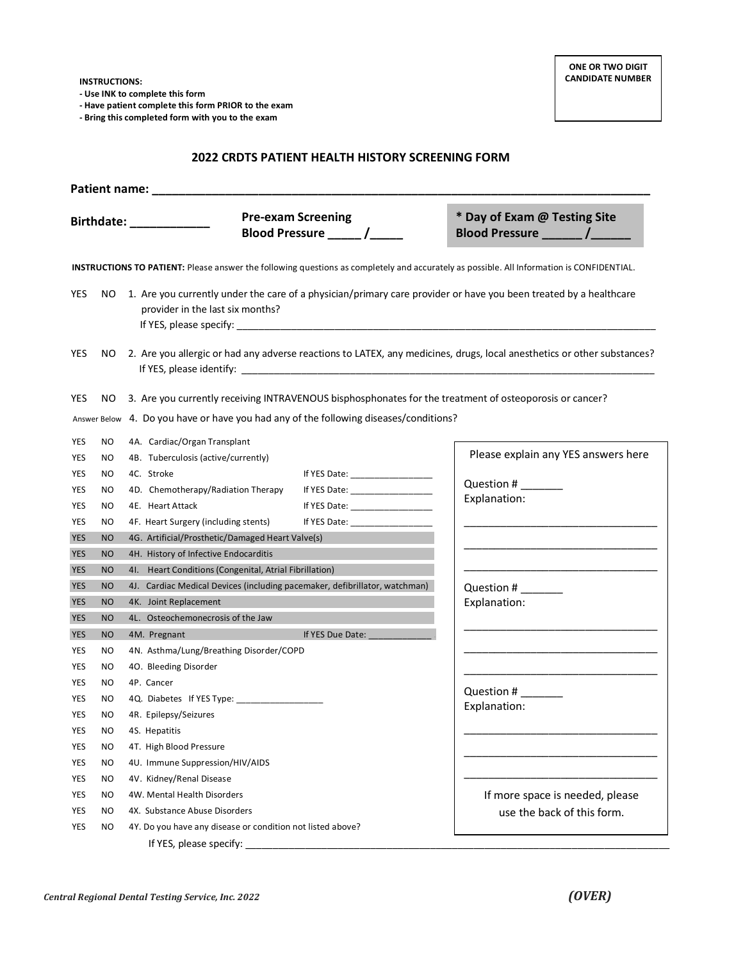**- Use INK to complete this form**

**- Have patient complete this form PRIOR to the exam**

**- Bring this completed form with you to the exam**

## **2022 CRDTS PATIENT HEALTH HISTORY SCREENING FORM**

|            |           |                                                                                                                            | <b>Pre-exam Screening</b>                                                                                                                                                                                                      | * Day of Exam @ Testing Site<br>Blood Pressure _________ /_______                                                                         |  |  |
|------------|-----------|----------------------------------------------------------------------------------------------------------------------------|--------------------------------------------------------------------------------------------------------------------------------------------------------------------------------------------------------------------------------|-------------------------------------------------------------------------------------------------------------------------------------------|--|--|
|            |           |                                                                                                                            |                                                                                                                                                                                                                                | INSTRUCTIONS TO PATIENT: Please answer the following questions as completely and accurately as possible. All Information is CONFIDENTIAL. |  |  |
| YES        |           | provider in the last six months?                                                                                           |                                                                                                                                                                                                                                | NO 1. Are you currently under the care of a physician/primary care provider or have you been treated by a healthcare                      |  |  |
| <b>YES</b> |           | NO 2. Are you allergic or had any adverse reactions to LATEX, any medicines, drugs, local anesthetics or other substances? |                                                                                                                                                                                                                                |                                                                                                                                           |  |  |
| YES        | NO.       | 3. Are you currently receiving INTRAVENOUS bisphosphonates for the treatment of osteoporosis or cancer?                    |                                                                                                                                                                                                                                |                                                                                                                                           |  |  |
|            |           | Answer Below 4. Do you have or have you had any of the following diseases/conditions?                                      |                                                                                                                                                                                                                                |                                                                                                                                           |  |  |
| <b>YES</b> | NO        | 4A. Cardiac/Organ Transplant                                                                                               |                                                                                                                                                                                                                                |                                                                                                                                           |  |  |
| YES        | NO.       | 4B. Tuberculosis (active/currently)                                                                                        |                                                                                                                                                                                                                                | Please explain any YES answers here                                                                                                       |  |  |
| YES        | NO.       | 4C. Stroke                                                                                                                 | If YES Date: $\frac{1}{2}$                                                                                                                                                                                                     |                                                                                                                                           |  |  |
| YES        | NO.       | 4D. Chemotherapy/Radiation Therapy                                                                                         | If YES Date: _________________                                                                                                                                                                                                 | Question #                                                                                                                                |  |  |
| YES        | NO.       | 4E. Heart Attack                                                                                                           | If YES Date: The Second Second Second Second Second Second Second Second Second Second Second Second Second Second Second Second Second Second Second Second Second Second Second Second Second Second Second Second Second Se | Explanation:                                                                                                                              |  |  |
| YES        | NO.       | 4F. Heart Surgery (including stents)                                                                                       | If YES Date: _______________                                                                                                                                                                                                   |                                                                                                                                           |  |  |
| <b>YES</b> | <b>NO</b> | 4G. Artificial/Prosthetic/Damaged Heart Valve(s)                                                                           |                                                                                                                                                                                                                                |                                                                                                                                           |  |  |
| <b>YES</b> | <b>NO</b> | 4H. History of Infective Endocarditis                                                                                      |                                                                                                                                                                                                                                |                                                                                                                                           |  |  |
| <b>YES</b> | <b>NO</b> | 41. Heart Conditions (Congenital, Atrial Fibrillation)                                                                     |                                                                                                                                                                                                                                |                                                                                                                                           |  |  |
| <b>YES</b> | <b>NO</b> | 4J. Cardiac Medical Devices (including pacemaker, defibrillator, watchman)                                                 |                                                                                                                                                                                                                                | Question #                                                                                                                                |  |  |
| <b>YES</b> | <b>NO</b> | 4K. Joint Replacement                                                                                                      |                                                                                                                                                                                                                                | Explanation:                                                                                                                              |  |  |
| <b>YES</b> | <b>NO</b> | 4L. Osteochemonecrosis of the Jaw                                                                                          |                                                                                                                                                                                                                                |                                                                                                                                           |  |  |
| <b>YES</b> | <b>NO</b> | 4M. Pregnant                                                                                                               |                                                                                                                                                                                                                                |                                                                                                                                           |  |  |
| <b>YES</b> | NO.       | 4N. Asthma/Lung/Breathing Disorder/COPD                                                                                    |                                                                                                                                                                                                                                |                                                                                                                                           |  |  |
| YES        | NO.       | 40. Bleeding Disorder                                                                                                      |                                                                                                                                                                                                                                |                                                                                                                                           |  |  |
| YES        | NO.       | 4P. Cancer                                                                                                                 |                                                                                                                                                                                                                                | Question #                                                                                                                                |  |  |
| YES        | NO.       | 4Q. Diabetes If YES Type:                                                                                                  |                                                                                                                                                                                                                                | Explanation:                                                                                                                              |  |  |
| YES        | NO.       | 4R. Epilepsy/Seizures                                                                                                      |                                                                                                                                                                                                                                |                                                                                                                                           |  |  |
| YES        | NO.       | 4S. Hepatitis                                                                                                              |                                                                                                                                                                                                                                |                                                                                                                                           |  |  |
| YES        | <b>NO</b> | 4T. High Blood Pressure                                                                                                    |                                                                                                                                                                                                                                |                                                                                                                                           |  |  |
| YES        | <b>NO</b> | 4U. Immune Suppression/HIV/AIDS                                                                                            |                                                                                                                                                                                                                                |                                                                                                                                           |  |  |
| YES        | <b>NO</b> | 4V. Kidney/Renal Disease                                                                                                   |                                                                                                                                                                                                                                |                                                                                                                                           |  |  |
| YES        | NO.       | 4W. Mental Health Disorders                                                                                                |                                                                                                                                                                                                                                | If more space is needed, please                                                                                                           |  |  |
| YES        | NO.       | 4X. Substance Abuse Disorders                                                                                              |                                                                                                                                                                                                                                | use the back of this form.                                                                                                                |  |  |
| YES        | NO.       | 4Y. Do you have any disease or condition not listed above?<br>If YES, please specify:                                      |                                                                                                                                                                                                                                |                                                                                                                                           |  |  |